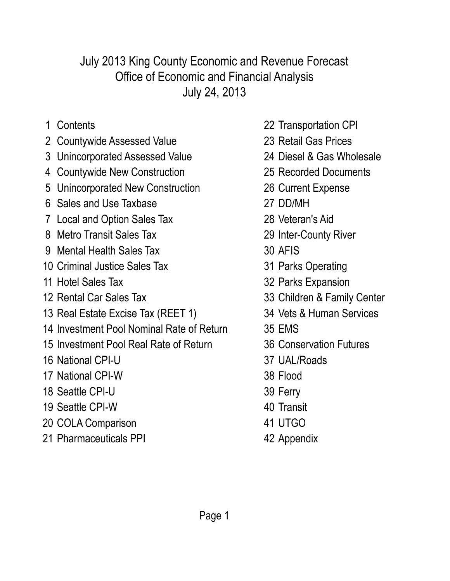July 24, 2013 Office of Economic and Financial Analysis July 2013 King County Economic and Revenue Forecast

- 
- 2 Countywide Assessed Value 23 Retail Gas Prices
- 3 Unincorporated Assessed Value 24 Diesel & Gas Wholesale
- 4 Countywide New Construction 25 Recorded Documents
- 5 Unincorporated New Construction 26 Current Expense
- 6 Sales and Use Taxbase 27 DD/MH
- 7 Local and Option Sales Tax 28 Veteran's Aid
- 8 Metro Transit Sales Tax 29 Inter-County River
- 9 Mental Health Sales Tax 30 AFIS
- 10 Criminal Justice Sales Tax 31 Parks Operating
- 
- 
- 13 Real Estate Excise Tax (REET 1) 34 Vets & Human Services
- 14 Investment Pool Nominal Rate of Return 35 EMS
- 15 Investment Pool Real Rate of Return 36 Conservation Futures
- 16 National CPI-U 37 UAL/Roads
- 17 National CPI-W 38 Flood
- 18 Seattle CPI-U 39 Ferry
- 19 Seattle CPI-W 40 Transit
- 20 COLA Comparison 41 UTGO
- 21 Pharmaceuticals PPI 42 Appendix
- 1 Contents 22 Transportation CPI
	-
	-
	-
	-
	-
	-
	-
	-
	-
- 11 Hotel Sales Tax 32 Parks Expansion
- 12 Rental Car Sales Tax 33 Children & Family Center
	-
	-
	-
	-
	-
	-
	-
	-
	-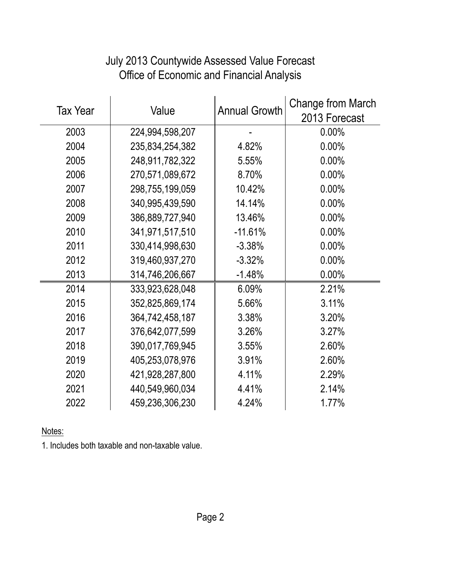| <b>Tax Year</b> | Value           | <b>Annual Growth</b> | <b>Change from March</b><br>2013 Forecast |
|-----------------|-----------------|----------------------|-------------------------------------------|
| 2003            | 224,994,598,207 |                      | $0.00\%$                                  |
| 2004            | 235,834,254,382 | 4.82%                | 0.00%                                     |
| 2005            | 248,911,782,322 | 5.55%                | 0.00%                                     |
| 2006            | 270,571,089,672 | 8.70%                | $0.00\%$                                  |
| 2007            | 298,755,199,059 | 10.42%               | 0.00%                                     |
| 2008            | 340,995,439,590 | 14.14%               | 0.00%                                     |
| 2009            | 386,889,727,940 | 13.46%               | 0.00%                                     |
| 2010            | 341,971,517,510 | $-11.61%$            | 0.00%                                     |
| 2011            | 330,414,998,630 | $-3.38%$             | 0.00%                                     |
| 2012            | 319,460,937,270 | $-3.32%$             | $0.00\%$                                  |
| 2013            | 314,746,206,667 | $-1.48%$             | 0.00%                                     |
| 2014            | 333,923,628,048 | 6.09%                | 2.21%                                     |
| 2015            | 352,825,869,174 | 5.66%                | 3.11%                                     |
| 2016            | 364,742,458,187 | 3.38%                | 3.20%                                     |
| 2017            | 376,642,077,599 | 3.26%                | 3.27%                                     |
| 2018            | 390,017,769,945 | 3.55%                | 2.60%                                     |
| 2019            | 405,253,078,976 | 3.91%                | 2.60%                                     |
| 2020            | 421,928,287,800 | 4.11%                | 2.29%                                     |
| 2021            | 440,549,960,034 | 4.41%                | 2.14%                                     |
| 2022            | 459,236,306,230 | 4.24%                | 1.77%                                     |

# July 2013 Countywide Assessed Value Forecast Office of Economic and Financial Analysis

Notes:

1. Includes both taxable and non-taxable value.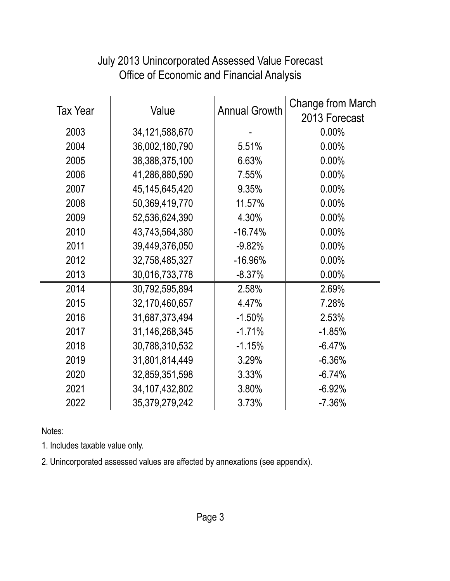|                 | Value             |                      | <b>Change from March</b> |
|-----------------|-------------------|----------------------|--------------------------|
| <b>Tax Year</b> |                   | <b>Annual Growth</b> | 2013 Forecast            |
| 2003            | 34, 121, 588, 670 |                      | $0.00\%$                 |
| 2004            | 36,002,180,790    | 5.51%                | 0.00%                    |
| 2005            | 38,388,375,100    | 6.63%                | $0.00\%$                 |
| 2006            | 41,286,880,590    | 7.55%                | 0.00%                    |
| 2007            | 45, 145, 645, 420 | 9.35%                | $0.00\%$                 |
| 2008            | 50,369,419,770    | 11.57%               | 0.00%                    |
| 2009            | 52,536,624,390    | 4.30%                | 0.00%                    |
| 2010            | 43,743,564,380    | $-16.74%$            | 0.00%                    |
| 2011            | 39,449,376,050    | $-9.82%$             | 0.00%                    |
| 2012            | 32,758,485,327    | $-16.96%$            | $0.00\%$                 |
| 2013            | 30,016,733,778    | $-8.37%$             | 0.00%                    |
| 2014            | 30,792,595,894    | 2.58%                | 2.69%                    |
| 2015            | 32,170,460,657    | 4.47%                | 7.28%                    |
| 2016            | 31,687,373,494    | $-1.50%$             | 2.53%                    |
| 2017            | 31,146,268,345    | $-1.71%$             | $-1.85%$                 |
| 2018            | 30,788,310,532    | $-1.15%$             | $-6.47%$                 |
| 2019            | 31,801,814,449    | 3.29%                | $-6.36%$                 |
| 2020            | 32,859,351,598    | 3.33%                | $-6.74%$                 |
| 2021            | 34, 107, 432, 802 | 3.80%                | $-6.92%$                 |
| 2022            | 35,379,279,242    | 3.73%                | $-7.36%$                 |

## July 2013 Unincorporated Assessed Value Forecast Office of Economic and Financial Analysis

Notes:

1. Includes taxable value only.

2. Unincorporated assessed values are affected by annexations (see appendix).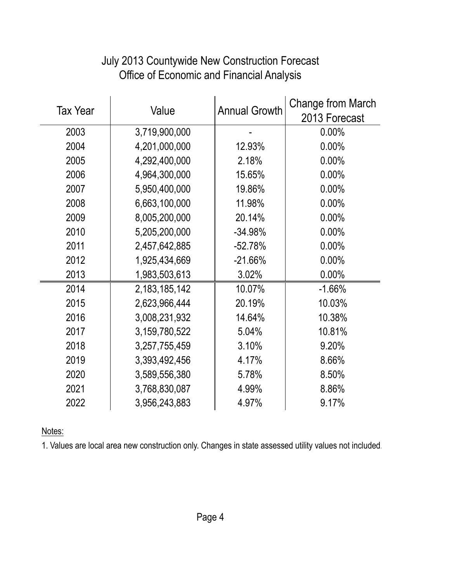| <b>Tax Year</b> | Value            | <b>Annual Growth</b> | Change from March<br>2013 Forecast |
|-----------------|------------------|----------------------|------------------------------------|
| 2003            | 3,719,900,000    |                      | 0.00%                              |
| 2004            | 4,201,000,000    | 12.93%               | 0.00%                              |
| 2005            | 4,292,400,000    | 2.18%                | 0.00%                              |
| 2006            | 4,964,300,000    | 15.65%               | 0.00%                              |
| 2007            | 5,950,400,000    | 19.86%               | 0.00%                              |
| 2008            | 6,663,100,000    | 11.98%               | 0.00%                              |
| 2009            | 8,005,200,000    | 20.14%               | 0.00%                              |
| 2010            | 5,205,200,000    | $-34.98%$            | 0.00%                              |
| 2011            | 2,457,642,885    | $-52.78%$            | 0.00%                              |
| 2012            | 1,925,434,669    | $-21.66%$            | 0.00%                              |
| 2013            | 1,983,503,613    | 3.02%                | 0.00%                              |
| 2014            | 2, 183, 185, 142 | 10.07%               | $-1.66%$                           |
| 2015            | 2,623,966,444    | 20.19%               | 10.03%                             |
| 2016            | 3,008,231,932    | 14.64%               | 10.38%                             |
| 2017            | 3,159,780,522    | 5.04%                | 10.81%                             |
| 2018            | 3,257,755,459    | 3.10%                | 9.20%                              |
| 2019            | 3,393,492,456    | 4.17%                | 8.66%                              |
| 2020            | 3,589,556,380    | 5.78%                | 8.50%                              |
| 2021            | 3,768,830,087    | 4.99%                | 8.86%                              |
| 2022            | 3,956,243,883    | 4.97%                | 9.17%                              |

# July 2013 Countywide New Construction Forecast Office of Economic and Financial Analysis

Notes:

1. Values are local area new construction only. Changes in state assessed utility values not included.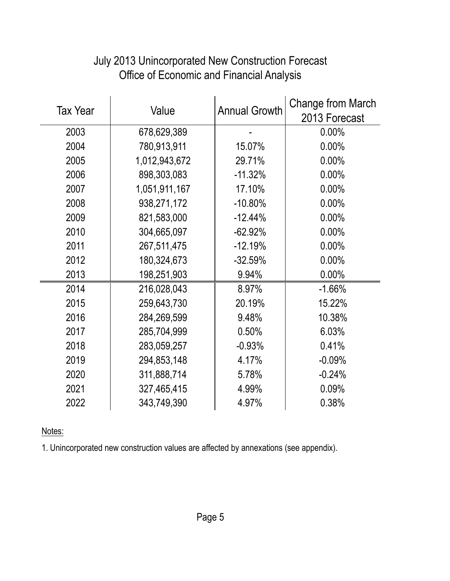| <b>Tax Year</b> |               | <b>Annual Growth</b> | Change from March |
|-----------------|---------------|----------------------|-------------------|
|                 | Value         |                      | 2013 Forecast     |
| 2003            | 678,629,389   |                      | 0.00%             |
| 2004            | 780,913,911   | 15.07%               | $0.00\%$          |
| 2005            | 1,012,943,672 | 29.71%               | $0.00\%$          |
| 2006            | 898,303,083   | $-11.32%$            | $0.00\%$          |
| 2007            | 1,051,911,167 | 17.10%               | 0.00%             |
| 2008            | 938,271,172   | $-10.80%$            | 0.00%             |
| 2009            | 821,583,000   | $-12.44%$            | $0.00\%$          |
| 2010            | 304,665,097   | $-62.92%$            | 0.00%             |
| 2011            | 267,511,475   | $-12.19%$            | 0.00%             |
| 2012            | 180,324,673   | $-32.59%$            | 0.00%             |
| 2013            | 198,251,903   | 9.94%                | $0.00\%$          |
| 2014            | 216,028,043   | 8.97%                | $-1.66%$          |
| 2015            | 259,643,730   | 20.19%               | 15.22%            |
| 2016            | 284,269,599   | 9.48%                | 10.38%            |
| 2017            | 285,704,999   | 0.50%                | 6.03%             |
| 2018            | 283,059,257   | $-0.93%$             | 0.41%             |
| 2019            | 294,853,148   | 4.17%                | $-0.09%$          |
| 2020            | 311,888,714   | 5.78%                | $-0.24%$          |
| 2021            | 327,465,415   | 4.99%                | 0.09%             |
| 2022            | 343,749,390   | 4.97%                | 0.38%             |

## July 2013 Unincorporated New Construction Forecast Office of Economic and Financial Analysis

Notes:

1. Unincorporated new construction values are affected by annexations (see appendix).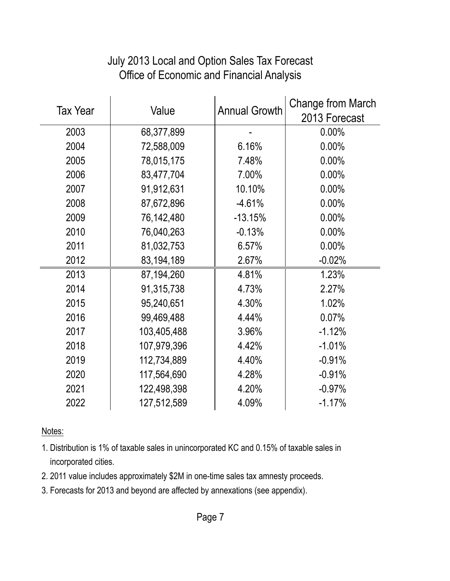| <b>Tax Year</b> | Value       | <b>Annual Growth</b> | Change from March<br>2013 Forecast |
|-----------------|-------------|----------------------|------------------------------------|
| 2003            | 68,377,899  |                      | 0.00%                              |
| 2004            | 72,588,009  | 6.16%                | 0.00%                              |
| 2005            | 78,015,175  | 7.48%                | $0.00\%$                           |
| 2006            | 83,477,704  | 7.00%                | 0.00%                              |
| 2007            | 91,912,631  | 10.10%               | 0.00%                              |
| 2008            | 87,672,896  | $-4.61%$             | 0.00%                              |
| 2009            | 76,142,480  | $-13.15%$            | 0.00%                              |
| 2010            | 76,040,263  | $-0.13%$             | $0.00\%$                           |
| 2011            | 81,032,753  | 6.57%                | 0.00%                              |
| 2012            | 83,194,189  | 2.67%                | $-0.02%$                           |
| 2013            | 87,194,260  | 4.81%                | 1.23%                              |
| 2014            | 91,315,738  | 4.73%                | 2.27%                              |
| 2015            | 95,240,651  | 4.30%                | 1.02%                              |
| 2016            | 99,469,488  | 4.44%                | 0.07%                              |
| 2017            | 103,405,488 | 3.96%                | $-1.12%$                           |
| 2018            | 107,979,396 | 4.42%                | $-1.01%$                           |
| 2019            | 112,734,889 | 4.40%                | $-0.91%$                           |
| 2020            | 117,564,690 | 4.28%                | $-0.91%$                           |
| 2021            | 122,498,398 | 4.20%                | $-0.97%$                           |
| 2022            | 127,512,589 | 4.09%                | $-1.17%$                           |

#### July 2013 Local and Option Sales Tax Forecast Office of Economic and Financial Analysis

Notes:

- 1. Distribution is 1% of taxable sales in unincorporated KC and 0.15% of taxable sales in incorporated cities.
- 2. 2011 value includes approximately \$2M in one-time sales tax amnesty proceeds.
- 3. Forecasts for 2013 and beyond are affected by annexations (see appendix).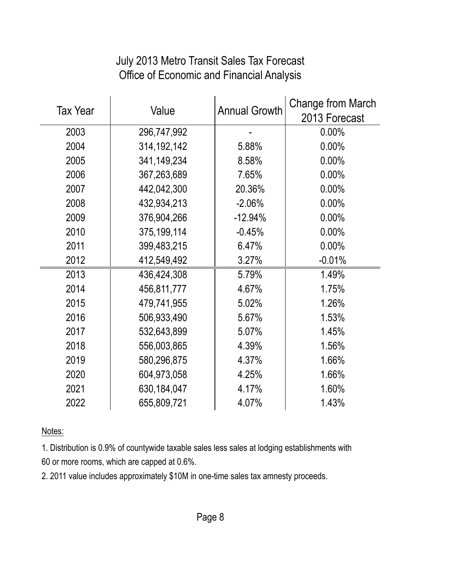#### July 2013 Metro Transit Sales Tax Forecast Office of Economic and Financial Analysis

| <b>Tax Year</b> |               |                      | Change from March |
|-----------------|---------------|----------------------|-------------------|
|                 | Value         | <b>Annual Growth</b> | 2013 Forecast     |
| 2003            | 296,747,992   |                      | $0.00\%$          |
| 2004            | 314, 192, 142 | 5.88%                | 0.00%             |
| 2005            | 341,149,234   | 8.58%                | 0.00%             |
| 2006            | 367,263,689   | 7.65%                | 0.00%             |
| 2007            | 442,042,300   | 20.36%               | 0.00%             |
| 2008            | 432,934,213   | $-2.06%$             | $0.00\%$          |
| 2009            | 376,904,266   | $-12.94%$            | 0.00%             |
| 2010            | 375,199,114   | $-0.45%$             | 0.00%             |
| 2011            | 399,483,215   | 6.47%                | 0.00%             |
| 2012            | 412,549,492   | 3.27%                | $-0.01%$          |
| 2013            | 436,424,308   | 5.79%                | 1.49%             |
| 2014            | 456,811,777   | 4.67%                | 1.75%             |
| 2015            | 479,741,955   | 5.02%                | 1.26%             |
| 2016            | 506,933,490   | 5.67%                | 1.53%             |
| 2017            | 532,643,899   | 5.07%                | 1.45%             |
| 2018            | 556,003,865   | 4.39%                | 1.56%             |
| 2019            | 580,296,875   | 4.37%                | 1.66%             |
| 2020            | 604,973,058   | 4.25%                | 1.66%             |
| 2021            | 630,184,047   | 4.17%                | 1.60%             |
| 2022            | 655,809,721   | 4.07%                | 1.43%             |

Notes:

1. Distribution is 0.9% of countywide taxable sales less sales at lodging establishments with 60 or more rooms, which are capped at 0.6%.

2. 2011 value includes approximately \$10M in one-time sales tax amnesty proceeds.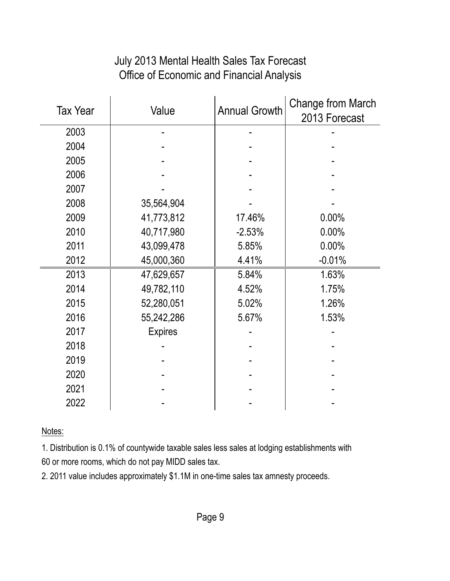#### July 2013 Mental Health Sales Tax Forecast Office of Economic and Financial Analysis

| <b>Tax Year</b> | Value          | <b>Annual Growth</b> | <b>Change from March</b><br>2013 Forecast |
|-----------------|----------------|----------------------|-------------------------------------------|
| 2003            |                |                      |                                           |
| 2004            |                |                      |                                           |
| 2005            |                |                      |                                           |
| 2006            |                |                      |                                           |
| 2007            |                |                      |                                           |
| 2008            | 35,564,904     |                      |                                           |
| 2009            | 41,773,812     | 17.46%               | 0.00%                                     |
| 2010            | 40,717,980     | $-2.53%$             | 0.00%                                     |
| 2011            | 43,099,478     | 5.85%                | 0.00%                                     |
| 2012            | 45,000,360     | 4.41%                | $-0.01%$                                  |
| 2013            | 47,629,657     | 5.84%                | 1.63%                                     |
| 2014            | 49,782,110     | 4.52%                | 1.75%                                     |
| 2015            | 52,280,051     | 5.02%                | 1.26%                                     |
| 2016            | 55,242,286     | 5.67%                | 1.53%                                     |
| 2017            | <b>Expires</b> |                      |                                           |
| 2018            |                |                      |                                           |
| 2019            |                |                      |                                           |
| 2020            |                |                      |                                           |
| 2021            |                |                      |                                           |
| 2022            |                |                      |                                           |

Notes:

1. Distribution is 0.1% of countywide taxable sales less sales at lodging establishments with 60 or more rooms, which do not pay MIDD sales tax.

2. 2011 value includes approximately \$1.1M in one-time sales tax amnesty proceeds.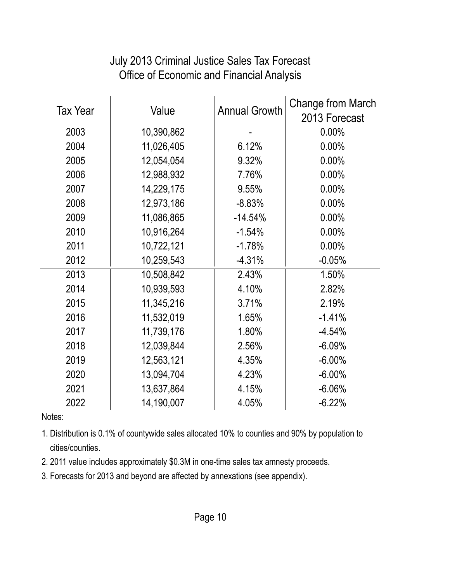| <b>Tax Year</b> | Value      | <b>Annual Growth</b> | Change from March |
|-----------------|------------|----------------------|-------------------|
|                 |            |                      | 2013 Forecast     |
| 2003            | 10,390,862 |                      | $0.00\%$          |
| 2004            | 11,026,405 | 6.12%                | 0.00%             |
| 2005            | 12,054,054 | 9.32%                | 0.00%             |
| 2006            | 12,988,932 | 7.76%                | 0.00%             |
| 2007            | 14,229,175 | 9.55%                | 0.00%             |
| 2008            | 12,973,186 | $-8.83%$             | 0.00%             |
| 2009            | 11,086,865 | $-14.54%$            | 0.00%             |
| 2010            | 10,916,264 | $-1.54%$             | 0.00%             |
| 2011            | 10,722,121 | $-1.78%$             | 0.00%             |
| 2012            | 10,259,543 | $-4.31%$             | $-0.05%$          |
| 2013            | 10,508,842 | 2.43%                | 1.50%             |
| 2014            | 10,939,593 | 4.10%                | 2.82%             |
| 2015            | 11,345,216 | 3.71%                | 2.19%             |
| 2016            | 11,532,019 | 1.65%                | $-1.41%$          |
| 2017            | 11,739,176 | 1.80%                | $-4.54%$          |
| 2018            | 12,039,844 | 2.56%                | $-6.09%$          |
| 2019            | 12,563,121 | 4.35%                | $-6.00\%$         |
| 2020            | 13,094,704 | 4.23%                | $-6.00\%$         |
| 2021            | 13,637,864 | 4.15%                | $-6.06%$          |
| 2022            | 14,190,007 | 4.05%                | $-6.22%$          |

## July 2013 Criminal Justice Sales Tax Forecast Office of Economic and Financial Analysis

#### Notes:

1. Distribution is 0.1% of countywide sales allocated 10% to counties and 90% by population to cities/counties.

- 2. 2011 value includes approximately \$0.3M in one-time sales tax amnesty proceeds.
- 3. Forecasts for 2013 and beyond are affected by annexations (see appendix).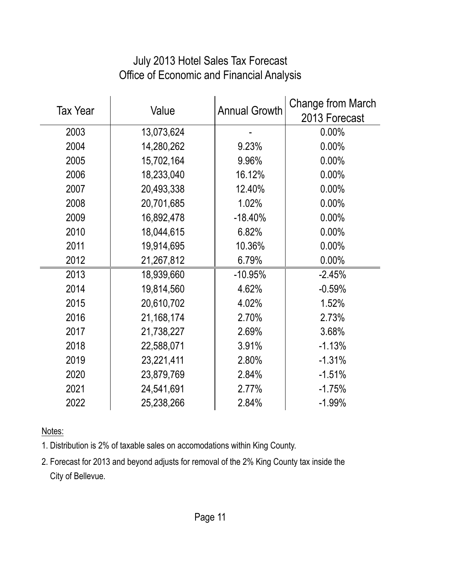| <b>Tax Year</b> | Value        | <b>Annual Growth</b> | Change from March<br>2013 Forecast |
|-----------------|--------------|----------------------|------------------------------------|
| 2003            | 13,073,624   |                      | $0.00\%$                           |
| 2004            | 14,280,262   | 9.23%                | 0.00%                              |
| 2005            | 15,702,164   | 9.96%                | 0.00%                              |
| 2006            | 18,233,040   | 16.12%               | 0.00%                              |
| 2007            | 20,493,338   | 12.40%               | 0.00%                              |
| 2008            | 20,701,685   | 1.02%                | 0.00%                              |
| 2009            | 16,892,478   | $-18.40%$            | 0.00%                              |
| 2010            | 18,044,615   | 6.82%                | 0.00%                              |
| 2011            | 19,914,695   | 10.36%               | 0.00%                              |
| 2012            | 21,267,812   | 6.79%                | 0.00%                              |
| 2013            | 18,939,660   | $-10.95%$            | $-2.45%$                           |
| 2014            | 19,814,560   | 4.62%                | $-0.59%$                           |
| 2015            | 20,610,702   | 4.02%                | 1.52%                              |
| 2016            | 21, 168, 174 | 2.70%                | 2.73%                              |
| 2017            | 21,738,227   | 2.69%                | 3.68%                              |
| 2018            | 22,588,071   | 3.91%                | $-1.13%$                           |
| 2019            | 23,221,411   | 2.80%                | $-1.31%$                           |
| 2020            | 23,879,769   | 2.84%                | $-1.51%$                           |
| 2021            | 24,541,691   | 2.77%                | $-1.75%$                           |
| 2022            | 25,238,266   | 2.84%                | $-1.99%$                           |

## July 2013 Hotel Sales Tax Forecast Office of Economic and Financial Analysis

Notes:

1. Distribution is 2% of taxable sales on accomodations within King County.

2. Forecast for 2013 and beyond adjusts for removal of the 2% King County tax inside the City of Bellevue.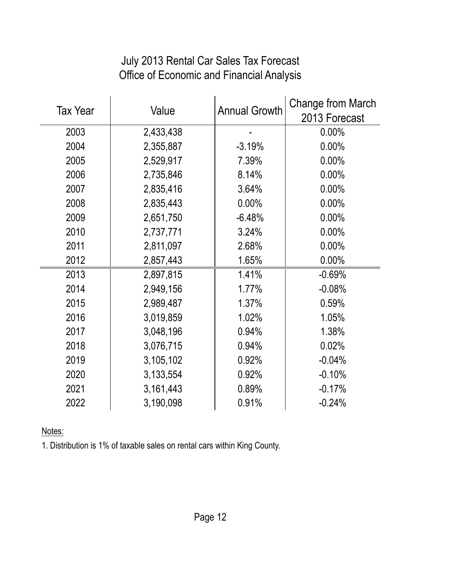#### July 2013 Rental Car Sales Tax Forecast Office of Economic and Financial Analysis

|                 |           |                      | Change from March |
|-----------------|-----------|----------------------|-------------------|
| <b>Tax Year</b> | Value     | <b>Annual Growth</b> | 2013 Forecast     |
| 2003            | 2,433,438 |                      | $0.00\%$          |
| 2004            | 2,355,887 | $-3.19%$             | 0.00%             |
| 2005            | 2,529,917 | 7.39%                | 0.00%             |
| 2006            | 2,735,846 | 8.14%                | 0.00%             |
| 2007            | 2,835,416 | 3.64%                | 0.00%             |
| 2008            | 2,835,443 | 0.00%                | 0.00%             |
| 2009            | 2,651,750 | $-6.48%$             | 0.00%             |
| 2010            | 2,737,771 | 3.24%                | 0.00%             |
| 2011            | 2,811,097 | 2.68%                | 0.00%             |
| 2012            | 2,857,443 | 1.65%                | 0.00%             |
| 2013            | 2,897,815 | 1.41%                | $-0.69%$          |
| 2014            | 2,949,156 | 1.77%                | $-0.08%$          |
| 2015            | 2,989,487 | 1.37%                | 0.59%             |
| 2016            | 3,019,859 | 1.02%                | 1.05%             |
| 2017            | 3,048,196 | 0.94%                | 1.38%             |
| 2018            | 3,076,715 | 0.94%                | 0.02%             |
| 2019            | 3,105,102 | 0.92%                | $-0.04%$          |
| 2020            | 3,133,554 | 0.92%                | $-0.10%$          |
| 2021            | 3,161,443 | 0.89%                | $-0.17%$          |
| 2022            | 3,190,098 | 0.91%                | $-0.24%$          |

Notes:

1. Distribution is 1% of taxable sales on rental cars within King County.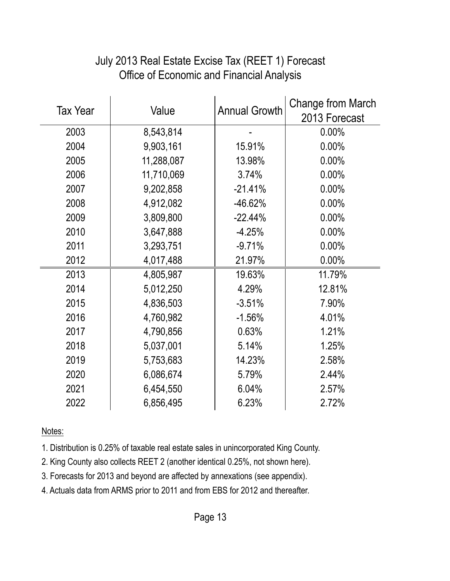| <b>Tax Year</b> | Value      | <b>Annual Growth</b> | <b>Change from March</b><br>2013 Forecast |
|-----------------|------------|----------------------|-------------------------------------------|
| 2003            | 8,543,814  |                      | $0.00\%$                                  |
| 2004            | 9,903,161  | 15.91%               | 0.00%                                     |
| 2005            | 11,288,087 | 13.98%               | $0.00\%$                                  |
| 2006            | 11,710,069 | 3.74%                | $0.00\%$                                  |
| 2007            | 9,202,858  | $-21.41%$            | $0.00\%$                                  |
| 2008            | 4,912,082  | $-46.62%$            | 0.00%                                     |
| 2009            | 3,809,800  | $-22.44%$            | 0.00%                                     |
| 2010            | 3,647,888  | $-4.25%$             | 0.00%                                     |
| 2011            | 3,293,751  | $-9.71%$             | 0.00%                                     |
| 2012            | 4,017,488  | 21.97%               | 0.00%                                     |
| 2013            | 4,805,987  | 19.63%               | 11.79%                                    |
| 2014            | 5,012,250  | 4.29%                | 12.81%                                    |
| 2015            | 4,836,503  | $-3.51%$             | 7.90%                                     |
| 2016            | 4,760,982  | $-1.56%$             | 4.01%                                     |
| 2017            | 4,790,856  | 0.63%                | 1.21%                                     |
| 2018            | 5,037,001  | 5.14%                | 1.25%                                     |
| 2019            | 5,753,683  | 14.23%               | 2.58%                                     |
| 2020            | 6,086,674  | 5.79%                | 2.44%                                     |
| 2021            | 6,454,550  | 6.04%                | 2.57%                                     |
| 2022            | 6,856,495  | 6.23%                | 2.72%                                     |

# July 2013 Real Estate Excise Tax (REET 1) Forecast Office of Economic and Financial Analysis

Notes:

1. Distribution is 0.25% of taxable real estate sales in unincorporated King County.

2. King County also collects REET 2 (another identical 0.25%, not shown here).

3. Forecasts for 2013 and beyond are affected by annexations (see appendix).

4. Actuals data from ARMS prior to 2011 and from EBS for 2012 and thereafter.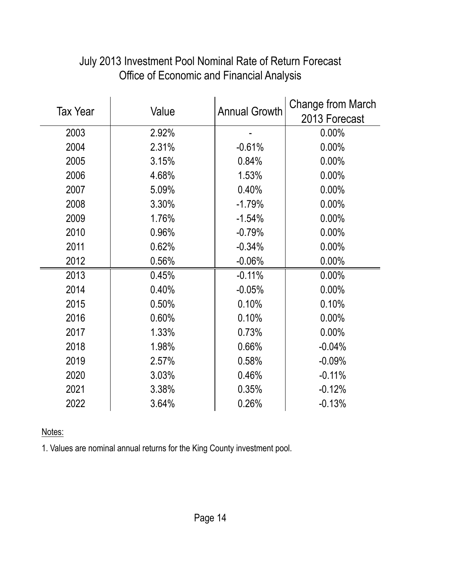| <b>Tax Year</b> |       |                      | <b>Change from March</b> |
|-----------------|-------|----------------------|--------------------------|
|                 | Value | <b>Annual Growth</b> | 2013 Forecast            |
| 2003            | 2.92% |                      | 0.00%                    |
| 2004            | 2.31% | $-0.61%$             | 0.00%                    |
| 2005            | 3.15% | 0.84%                | 0.00%                    |
| 2006            | 4.68% | 1.53%                | 0.00%                    |
| 2007            | 5.09% | 0.40%                | 0.00%                    |
| 2008            | 3.30% | $-1.79%$             | 0.00%                    |
| 2009            | 1.76% | $-1.54%$             | 0.00%                    |
| 2010            | 0.96% | $-0.79%$             | 0.00%                    |
| 2011            | 0.62% | $-0.34%$             | 0.00%                    |
| 2012            | 0.56% | $-0.06%$             | 0.00%                    |
| 2013            | 0.45% | $-0.11%$             | 0.00%                    |
| 2014            | 0.40% | $-0.05%$             | 0.00%                    |
| 2015            | 0.50% | 0.10%                | 0.10%                    |
| 2016            | 0.60% | 0.10%                | 0.00%                    |
| 2017            | 1.33% | 0.73%                | 0.00%                    |
| 2018            | 1.98% | 0.66%                | $-0.04%$                 |
| 2019            | 2.57% | 0.58%                | $-0.09%$                 |
| 2020            | 3.03% | 0.46%                | $-0.11%$                 |
| 2021            | 3.38% | 0.35%                | $-0.12%$                 |
| 2022            | 3.64% | 0.26%                | $-0.13%$                 |

#### July 2013 Investment Pool Nominal Rate of Return Forecast Office of Economic and Financial Analysis

Notes:

1. Values are nominal annual returns for the King County investment pool.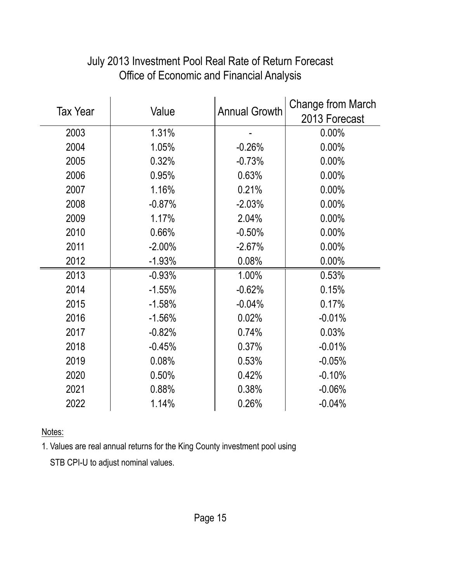|                 |           |                      | Change from March |
|-----------------|-----------|----------------------|-------------------|
| <b>Tax Year</b> | Value     | <b>Annual Growth</b> | 2013 Forecast     |
| 2003            | 1.31%     |                      | 0.00%             |
| 2004            | 1.05%     | $-0.26%$             | 0.00%             |
| 2005            | 0.32%     | $-0.73%$             | 0.00%             |
| 2006            | 0.95%     | 0.63%                | 0.00%             |
| 2007            | 1.16%     | 0.21%                | 0.00%             |
| 2008            | $-0.87%$  | $-2.03%$             | 0.00%             |
| 2009            | 1.17%     | 2.04%                | 0.00%             |
| 2010            | 0.66%     | $-0.50%$             | 0.00%             |
| 2011            | $-2.00\%$ | $-2.67%$             | 0.00%             |
| 2012            | $-1.93%$  | 0.08%                | 0.00%             |
| 2013            | $-0.93%$  | 1.00%                | 0.53%             |
| 2014            | $-1.55%$  | $-0.62%$             | 0.15%             |
| 2015            | $-1.58%$  | $-0.04%$             | 0.17%             |
| 2016            | $-1.56%$  | 0.02%                | $-0.01%$          |
| 2017            | $-0.82%$  | 0.74%                | 0.03%             |
| 2018            | $-0.45%$  | 0.37%                | $-0.01%$          |
| 2019            | 0.08%     | 0.53%                | $-0.05%$          |
| 2020            | 0.50%     | 0.42%                | $-0.10%$          |
| 2021            | 0.88%     | 0.38%                | $-0.06%$          |
| 2022            | 1.14%     | 0.26%                | $-0.04%$          |

## July 2013 Investment Pool Real Rate of Return Forecast Office of Economic and Financial Analysis

Notes:

1. Values are real annual returns for the King County investment pool using

STB CPI-U to adjust nominal values.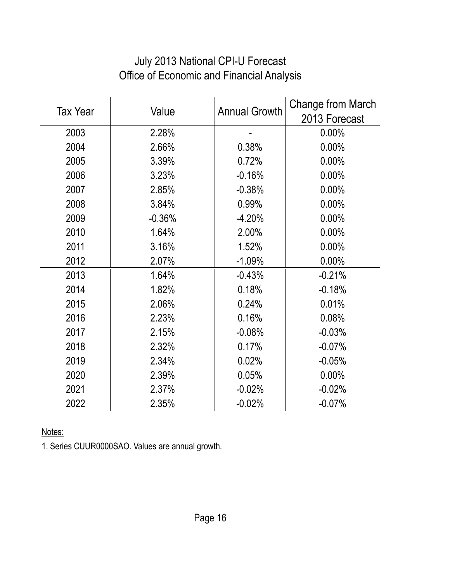| <b>Tax Year</b> | Value    | <b>Annual Growth</b> | Change from March<br>2013 Forecast |
|-----------------|----------|----------------------|------------------------------------|
| 2003            | 2.28%    |                      | 0.00%                              |
| 2004            | 2.66%    | 0.38%                | 0.00%                              |
| 2005            | 3.39%    | 0.72%                | 0.00%                              |
| 2006            | 3.23%    | $-0.16%$             | 0.00%                              |
| 2007            | 2.85%    | $-0.38%$             | 0.00%                              |
| 2008            | 3.84%    | 0.99%                | 0.00%                              |
| 2009            | $-0.36%$ | $-4.20%$             | 0.00%                              |
| 2010            | 1.64%    | 2.00%                | 0.00%                              |
| 2011            | 3.16%    | 1.52%                | 0.00%                              |
| 2012            | 2.07%    | $-1.09%$             | 0.00%                              |
| 2013            | 1.64%    | $-0.43%$             | $-0.21%$                           |
| 2014            | 1.82%    | 0.18%                | $-0.18%$                           |
| 2015            | 2.06%    | 0.24%                | 0.01%                              |
| 2016            | 2.23%    | 0.16%                | 0.08%                              |
| 2017            | 2.15%    | $-0.08%$             | $-0.03%$                           |
| 2018            | 2.32%    | 0.17%                | $-0.07%$                           |
| 2019            | 2.34%    | 0.02%                | $-0.05%$                           |
| 2020            | 2.39%    | 0.05%                | 0.00%                              |
| 2021            | 2.37%    | $-0.02%$             | $-0.02%$                           |
| 2022            | 2.35%    | $-0.02%$             | $-0.07%$                           |

# July 2013 National CPI-U Forecast Office of Economic and Financial Analysis

Notes:

1. Series CUUR0000SAO. Values are annual growth.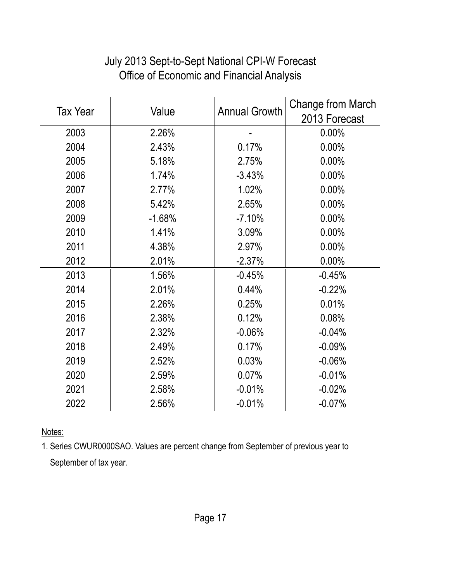|                 |          | <b>Annual Growth</b> | <b>Change from March</b> |
|-----------------|----------|----------------------|--------------------------|
| <b>Tax Year</b> | Value    |                      | 2013 Forecast            |
| 2003            | 2.26%    |                      | $0.00\%$                 |
| 2004            | 2.43%    | 0.17%                | 0.00%                    |
| 2005            | 5.18%    | 2.75%                | $0.00\%$                 |
| 2006            | 1.74%    | $-3.43%$             | 0.00%                    |
| 2007            | 2.77%    | 1.02%                | 0.00%                    |
| 2008            | 5.42%    | 2.65%                | 0.00%                    |
| 2009            | $-1.68%$ | $-7.10%$             | 0.00%                    |
| 2010            | 1.41%    | 3.09%                | $0.00\%$                 |
| 2011            | 4.38%    | 2.97%                | 0.00%                    |
| 2012            | 2.01%    | $-2.37%$             | 0.00%                    |
| 2013            | 1.56%    | $-0.45%$             | $-0.45%$                 |
| 2014            | 2.01%    | 0.44%                | $-0.22%$                 |
| 2015            | 2.26%    | 0.25%                | 0.01%                    |
| 2016            | 2.38%    | 0.12%                | 0.08%                    |
| 2017            | 2.32%    | $-0.06%$             | $-0.04%$                 |
| 2018            | 2.49%    | 0.17%                | $-0.09%$                 |
| 2019            | 2.52%    | 0.03%                | $-0.06%$                 |
| 2020            | 2.59%    | 0.07%                | $-0.01%$                 |
| 2021            | 2.58%    | $-0.01%$             | $-0.02%$                 |
| 2022            | 2.56%    | $-0.01%$             | $-0.07%$                 |

# July 2013 Sept-to-Sept National CPI-W Forecast Office of Economic and Financial Analysis

Notes:

1. Series CWUR0000SAO. Values are percent change from September of previous year to September of tax year.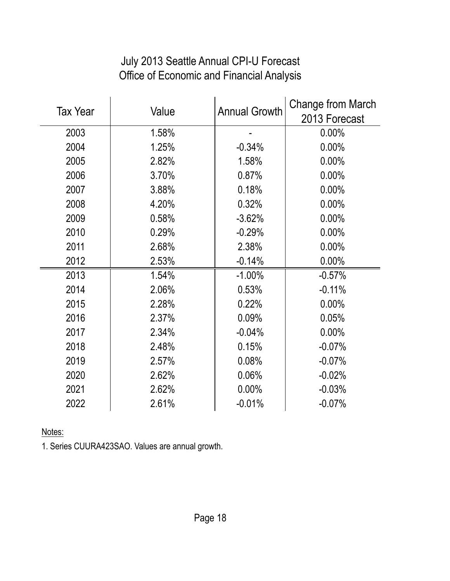# July 2013 Seattle Annual CPI-U Forecast Office of Economic and Financial Analysis

|                 |       | <b>Annual Growth</b> | Change from March |
|-----------------|-------|----------------------|-------------------|
| <b>Tax Year</b> | Value |                      | 2013 Forecast     |
| 2003            | 1.58% |                      | $0.00\%$          |
| 2004            | 1.25% | $-0.34%$             | 0.00%             |
| 2005            | 2.82% | 1.58%                | 0.00%             |
| 2006            | 3.70% | 0.87%                | 0.00%             |
| 2007            | 3.88% | 0.18%                | 0.00%             |
| 2008            | 4.20% | 0.32%                | 0.00%             |
| 2009            | 0.58% | $-3.62%$             | 0.00%             |
| 2010            | 0.29% | $-0.29%$             | 0.00%             |
| 2011            | 2.68% | 2.38%                | 0.00%             |
| 2012            | 2.53% | $-0.14%$             | 0.00%             |
| 2013            | 1.54% | $-1.00\%$            | $-0.57%$          |
| 2014            | 2.06% | 0.53%                | $-0.11%$          |
| 2015            | 2.28% | 0.22%                | 0.00%             |
| 2016            | 2.37% | 0.09%                | 0.05%             |
| 2017            | 2.34% | $-0.04%$             | 0.00%             |
| 2018            | 2.48% | 0.15%                | $-0.07%$          |
| 2019            | 2.57% | 0.08%                | $-0.07%$          |
| 2020            | 2.62% | 0.06%                | $-0.02%$          |
| 2021            | 2.62% | 0.00%                | $-0.03%$          |
| 2022            | 2.61% | $-0.01%$             | $-0.07%$          |

Notes:

1. Series CUURA423SAO. Values are annual growth.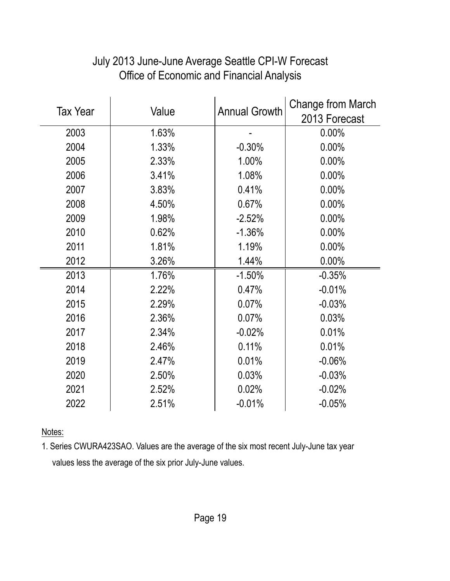| <b>Tax Year</b> | Value | <b>Annual Growth</b> | <b>Change from March</b> |
|-----------------|-------|----------------------|--------------------------|
|                 |       |                      | 2013 Forecast            |
| 2003            | 1.63% |                      | 0.00%                    |
| 2004            | 1.33% | $-0.30%$             | 0.00%                    |
| 2005            | 2.33% | 1.00%                | 0.00%                    |
| 2006            | 3.41% | 1.08%                | 0.00%                    |
| 2007            | 3.83% | 0.41%                | 0.00%                    |
| 2008            | 4.50% | 0.67%                | 0.00%                    |
| 2009            | 1.98% | $-2.52%$             | $0.00\%$                 |
| 2010            | 0.62% | $-1.36%$             | 0.00%                    |
| 2011            | 1.81% | 1.19%                | 0.00%                    |
| 2012            | 3.26% | 1.44%                | 0.00%                    |
| 2013            | 1.76% | $-1.50%$             | $-0.35%$                 |
| 2014            | 2.22% | 0.47%                | $-0.01%$                 |
| 2015            | 2.29% | 0.07%                | $-0.03%$                 |
| 2016            | 2.36% | 0.07%                | 0.03%                    |
| 2017            | 2.34% | $-0.02%$             | 0.01%                    |
| 2018            | 2.46% | 0.11%                | 0.01%                    |
| 2019            | 2.47% | 0.01%                | $-0.06%$                 |
| 2020            | 2.50% | 0.03%                | $-0.03%$                 |
| 2021            | 2.52% | 0.02%                | $-0.02%$                 |
| 2022            | 2.51% | $-0.01%$             | $-0.05%$                 |

# July 2013 June-June Average Seattle CPI-W Forecast Office of Economic and Financial Analysis

Notes:

1. Series CWURA423SAO. Values are the average of the six most recent July-June tax year values less the average of the six prior July-June values.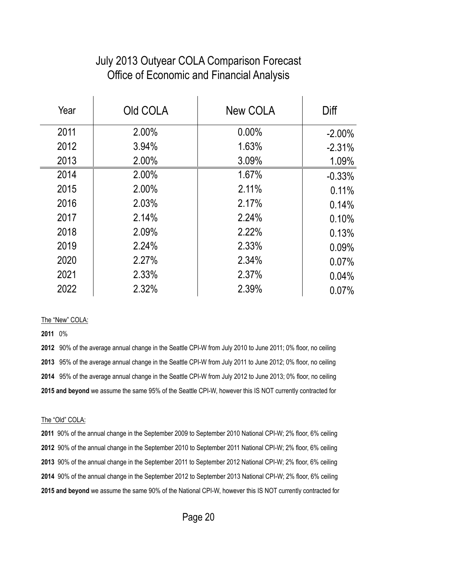#### July 2013 Outyear COLA Comparison Forecast Office of Economic and Financial Analysis

| Year | Old COLA | New COLA | Diff      |
|------|----------|----------|-----------|
| 2011 | 2.00%    | $0.00\%$ | $-2.00\%$ |
| 2012 | 3.94%    | 1.63%    | $-2.31%$  |
| 2013 | 2.00%    | 3.09%    | 1.09%     |
| 2014 | 2.00%    | 1.67%    | $-0.33%$  |
| 2015 | 2.00%    | 2.11%    | 0.11%     |
| 2016 | 2.03%    | 2.17%    | 0.14%     |
| 2017 | 2.14%    | 2.24%    | 0.10%     |
| 2018 | 2.09%    | 2.22%    | 0.13%     |
| 2019 | 2.24%    | 2.33%    | 0.09%     |
| 2020 | 2.27%    | 2.34%    | 0.07%     |
| 2021 | 2.33%    | 2.37%    | 0.04%     |
| 2022 | 2.32%    | 2.39%    | 0.07%     |

#### The "New" COLA:

0%

 90% of the average annual change in the Seattle CPI-W from July 2010 to June 2011; 0% floor, no ceiling 95% of the average annual change in the Seattle CPI-W from July 2011 to June 2012; 0% floor, no ceiling 95% of the average annual change in the Seattle CPI-W from July 2012 to June 2013; 0% floor, no ceiling **2015 and beyond** we assume the same 95% of the Seattle CPI-W, however this IS NOT currently contracted for

#### The "Old" COLA:

 90% of the annual change in the September 2009 to September 2010 National CPI-W; 2% floor, 6% ceiling 90% of the annual change in the September 2010 to September 2011 National CPI-W; 2% floor, 6% ceiling 90% of the annual change in the September 2011 to September 2012 National CPI-W; 2% floor, 6% ceiling 90% of the annual change in the September 2012 to September 2013 National CPI-W; 2% floor, 6% ceiling **2015 and beyond** we assume the same 90% of the National CPI-W, however this IS NOT currently contracted for

Page 20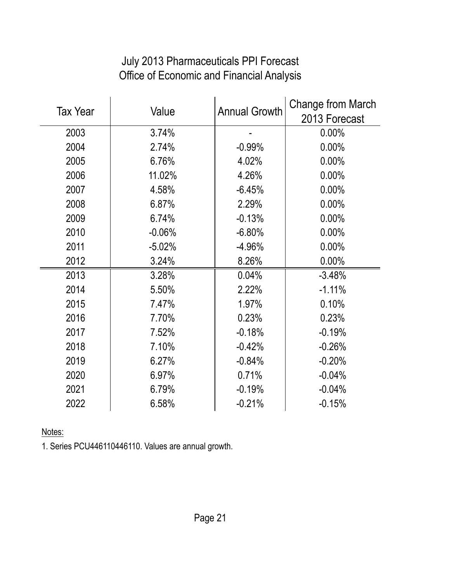### July 2013 Pharmaceuticals PPI Forecast Office of Economic and Financial Analysis

| <b>Tax Year</b> |          | <b>Annual Growth</b> | Change from March |
|-----------------|----------|----------------------|-------------------|
|                 | Value    |                      | 2013 Forecast     |
| 2003            | 3.74%    |                      | $0.00\%$          |
| 2004            | 2.74%    | $-0.99%$             | 0.00%             |
| 2005            | 6.76%    | 4.02%                | 0.00%             |
| 2006            | 11.02%   | 4.26%                | 0.00%             |
| 2007            | 4.58%    | $-6.45%$             | 0.00%             |
| 2008            | 6.87%    | 2.29%                | 0.00%             |
| 2009            | 6.74%    | $-0.13%$             | 0.00%             |
| 2010            | $-0.06%$ | $-6.80%$             | 0.00%             |
| 2011            | $-5.02%$ | $-4.96%$             | 0.00%             |
| 2012            | 3.24%    | 8.26%                | 0.00%             |
| 2013            | 3.28%    | 0.04%                | $-3.48%$          |
| 2014            | 5.50%    | 2.22%                | $-1.11%$          |
| 2015            | 7.47%    | 1.97%                | 0.10%             |
| 2016            | 7.70%    | 0.23%                | 0.23%             |
| 2017            | 7.52%    | $-0.18%$             | $-0.19%$          |
| 2018            | 7.10%    | $-0.42%$             | $-0.26%$          |
| 2019            | 6.27%    | $-0.84%$             | $-0.20%$          |
| 2020            | 6.97%    | 0.71%                | $-0.04%$          |
| 2021            | 6.79%    | $-0.19%$             | $-0.04%$          |
| 2022            | 6.58%    | $-0.21%$             | $-0.15%$          |

Notes:

1. Series PCU446110446110. Values are annual growth.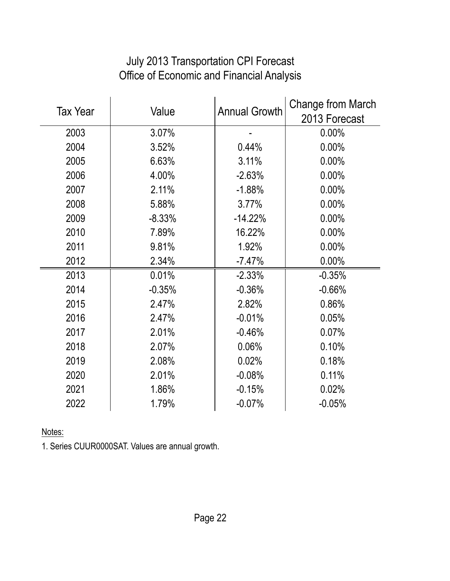| <b>Tax Year</b> | Value    | <b>Annual Growth</b> | Change from March<br>2013 Forecast |
|-----------------|----------|----------------------|------------------------------------|
| 2003            | 3.07%    |                      | 0.00%                              |
| 2004            | 3.52%    | 0.44%                | 0.00%                              |
| 2005            | 6.63%    | 3.11%                | 0.00%                              |
| 2006            | 4.00%    | $-2.63%$             | 0.00%                              |
| 2007            | 2.11%    | $-1.88%$             | 0.00%                              |
| 2008            | 5.88%    | 3.77%                | 0.00%                              |
| 2009            | $-8.33%$ | $-14.22%$            | 0.00%                              |
| 2010            | 7.89%    | 16.22%               | 0.00%                              |
| 2011            | 9.81%    | 1.92%                | 0.00%                              |
| 2012            | 2.34%    | $-7.47%$             | 0.00%                              |
| 2013            | 0.01%    | $-2.33%$             | $-0.35%$                           |
| 2014            | $-0.35%$ | $-0.36%$             | $-0.66%$                           |
| 2015            | 2.47%    | 2.82%                | 0.86%                              |
| 2016            | 2.47%    | $-0.01%$             | 0.05%                              |
| 2017            | 2.01%    | $-0.46%$             | 0.07%                              |
| 2018            | 2.07%    | 0.06%                | 0.10%                              |
| 2019            | 2.08%    | 0.02%                | 0.18%                              |
| 2020            | 2.01%    | $-0.08%$             | 0.11%                              |
| 2021            | 1.86%    | $-0.15%$             | 0.02%                              |
| 2022            | 1.79%    | $-0.07%$             | $-0.05%$                           |

# July 2013 Transportation CPI Forecast Office of Economic and Financial Analysis

Notes:

1. Series CUUR0000SAT. Values are annual growth.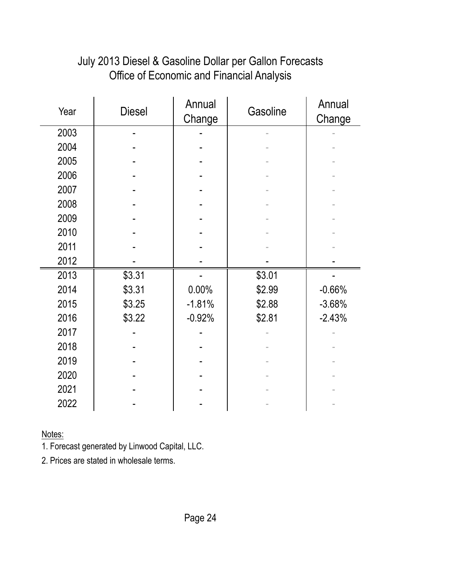| Year | <b>Diesel</b> | Annual<br>Change | Gasoline | Annual<br>Change |
|------|---------------|------------------|----------|------------------|
| 2003 |               |                  |          |                  |
| 2004 |               |                  |          |                  |
| 2005 |               |                  |          |                  |
| 2006 |               |                  |          |                  |
| 2007 |               |                  |          |                  |
| 2008 |               |                  |          |                  |
| 2009 |               |                  |          |                  |
| 2010 |               |                  |          |                  |
| 2011 |               |                  |          |                  |
| 2012 |               |                  |          |                  |
| 2013 | \$3.31        |                  | \$3.01   |                  |
| 2014 | \$3.31        | 0.00%            | \$2.99   | $-0.66%$         |
| 2015 | \$3.25        | $-1.81%$         | \$2.88   | $-3.68%$         |
| 2016 | \$3.22        | $-0.92%$         | \$2.81   | $-2.43%$         |
| 2017 |               |                  |          |                  |
| 2018 |               |                  |          |                  |
| 2019 |               |                  |          |                  |
| 2020 |               |                  |          |                  |
| 2021 |               |                  |          |                  |
| 2022 |               |                  |          |                  |

# July 2013 Diesel & Gasoline Dollar per Gallon Forecasts Office of Economic and Financial Analysis

Notes:

1. Forecast generated by Linwood Capital, LLC.

2. Prices are stated in wholesale terms.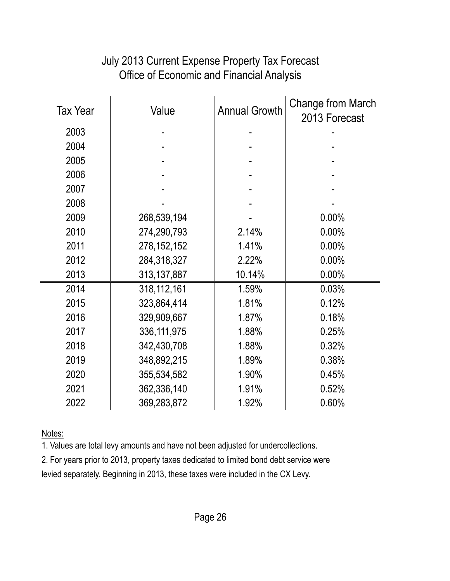| <b>Tax Year</b> | Value         | <b>Annual Growth</b> | Change from March<br>2013 Forecast |
|-----------------|---------------|----------------------|------------------------------------|
| 2003            |               |                      |                                    |
| 2004            |               |                      |                                    |
| 2005            |               |                      |                                    |
| 2006            |               |                      |                                    |
| 2007            |               |                      |                                    |
| 2008            |               |                      |                                    |
| 2009            | 268,539,194   |                      | 0.00%                              |
| 2010            | 274,290,793   | 2.14%                | 0.00%                              |
| 2011            | 278, 152, 152 | 1.41%                | 0.00%                              |
| 2012            | 284,318,327   | 2.22%                | 0.00%                              |
| 2013            | 313,137,887   | 10.14%               | 0.00%                              |
| 2014            | 318, 112, 161 | 1.59%                | 0.03%                              |
| 2015            | 323,864,414   | 1.81%                | 0.12%                              |
| 2016            | 329,909,667   | 1.87%                | 0.18%                              |
| 2017            | 336, 111, 975 | 1.88%                | 0.25%                              |
| 2018            | 342,430,708   | 1.88%                | 0.32%                              |
| 2019            | 348,892,215   | 1.89%                | 0.38%                              |
| 2020            | 355,534,582   | 1.90%                | 0.45%                              |
| 2021            | 362,336,140   | 1.91%                | 0.52%                              |
| 2022            | 369,283,872   | 1.92%                | 0.60%                              |

# July 2013 Current Expense Property Tax Forecast Office of Economic and Financial Analysis

Notes:

1. Values are total levy amounts and have not been adjusted for undercollections.

2. For years prior to 2013, property taxes dedicated to limited bond debt service were levied separately. Beginning in 2013, these taxes were included in the CX Levy.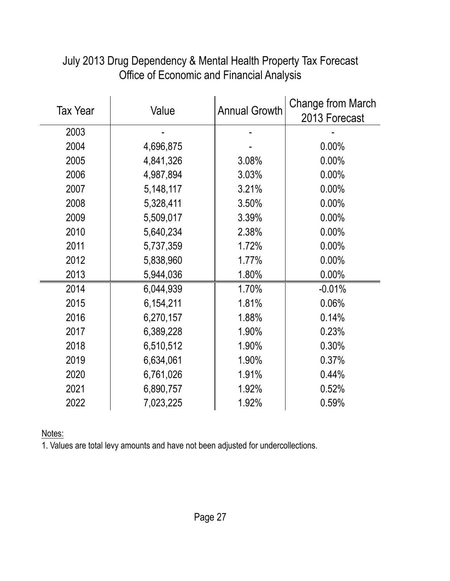| <b>Tax Year</b> | Value     | <b>Annual Growth</b> | Change from March<br>2013 Forecast |
|-----------------|-----------|----------------------|------------------------------------|
| 2003            |           |                      |                                    |
| 2004            | 4,696,875 |                      | 0.00%                              |
| 2005            | 4,841,326 | 3.08%                | 0.00%                              |
| 2006            | 4,987,894 | 3.03%                | 0.00%                              |
| 2007            | 5,148,117 | 3.21%                | 0.00%                              |
| 2008            | 5,328,411 | 3.50%                | 0.00%                              |
| 2009            | 5,509,017 | 3.39%                | 0.00%                              |
| 2010            | 5,640,234 | 2.38%                | 0.00%                              |
| 2011            | 5,737,359 | 1.72%                | 0.00%                              |
| 2012            | 5,838,960 | 1.77%                | 0.00%                              |
| 2013            | 5,944,036 | 1.80%                | 0.00%                              |
| 2014            | 6,044,939 | 1.70%                | $-0.01%$                           |
| 2015            | 6,154,211 | 1.81%                | 0.06%                              |
| 2016            | 6,270,157 | 1.88%                | 0.14%                              |
| 2017            | 6,389,228 | 1.90%                | 0.23%                              |
| 2018            | 6,510,512 | 1.90%                | 0.30%                              |
| 2019            | 6,634,061 | 1.90%                | 0.37%                              |
| 2020            | 6,761,026 | 1.91%                | 0.44%                              |
| 2021            | 6,890,757 | 1.92%                | 0.52%                              |
| 2022            | 7,023,225 | 1.92%                | 0.59%                              |

#### July 2013 Drug Dependency & Mental Health Property Tax Forecast Office of Economic and Financial Analysis

Notes: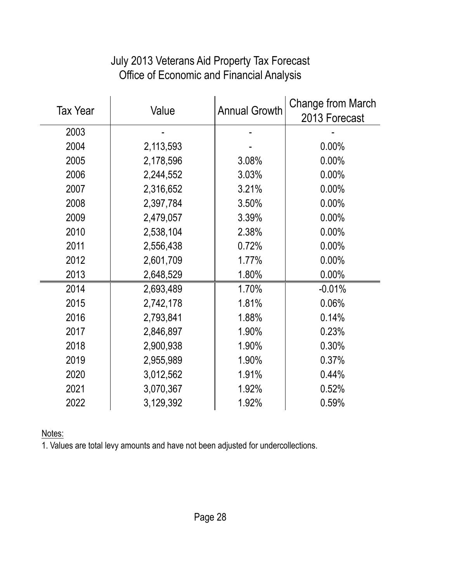| <b>Tax Year</b> | Value     | <b>Annual Growth</b> | <b>Change from March</b><br>2013 Forecast |
|-----------------|-----------|----------------------|-------------------------------------------|
| 2003            |           |                      |                                           |
| 2004            | 2,113,593 |                      | 0.00%                                     |
| 2005            | 2,178,596 | 3.08%                | 0.00%                                     |
| 2006            | 2,244,552 | 3.03%                | 0.00%                                     |
| 2007            | 2,316,652 | 3.21%                | 0.00%                                     |
| 2008            | 2,397,784 | 3.50%                | 0.00%                                     |
| 2009            | 2,479,057 | 3.39%                | 0.00%                                     |
| 2010            | 2,538,104 | 2.38%                | 0.00%                                     |
| 2011            | 2,556,438 | 0.72%                | 0.00%                                     |
| 2012            | 2,601,709 | 1.77%                | 0.00%                                     |
| 2013            | 2,648,529 | 1.80%                | 0.00%                                     |
| 2014            | 2,693,489 | 1.70%                | $-0.01%$                                  |
| 2015            | 2,742,178 | 1.81%                | 0.06%                                     |
| 2016            | 2,793,841 | 1.88%                | 0.14%                                     |
| 2017            | 2,846,897 | 1.90%                | 0.23%                                     |
| 2018            | 2,900,938 | 1.90%                | 0.30%                                     |
| 2019            | 2,955,989 | 1.90%                | 0.37%                                     |
| 2020            | 3,012,562 | 1.91%                | 0.44%                                     |
| 2021            | 3,070,367 | 1.92%                | 0.52%                                     |
| 2022            | 3,129,392 | 1.92%                | 0.59%                                     |

# July 2013 Veterans Aid Property Tax Forecast Office of Economic and Financial Analysis

Notes: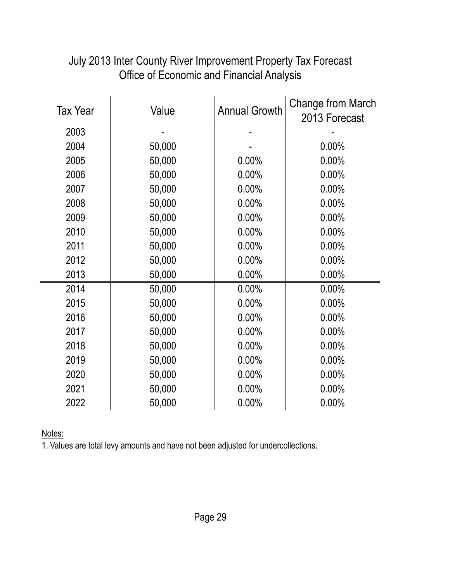| <b>Tax Year</b> | Value  | <b>Annual Growth</b> | Change from March<br>2013 Forecast |
|-----------------|--------|----------------------|------------------------------------|
| 2003            |        |                      |                                    |
| 2004            | 50,000 |                      | 0.00%                              |
| 2005            | 50,000 | 0.00%                | 0.00%                              |
| 2006            | 50,000 | 0.00%                | 0.00%                              |
| 2007            | 50,000 | 0.00%                | 0.00%                              |
| 2008            | 50,000 | 0.00%                | 0.00%                              |
| 2009            | 50,000 | 0.00%                | 0.00%                              |
| 2010            | 50,000 | 0.00%                | 0.00%                              |
| 2011            | 50,000 | 0.00%                | 0.00%                              |
| 2012            | 50,000 | 0.00%                | 0.00%                              |
| 2013            | 50,000 | 0.00%                | 0.00%                              |
| 2014            | 50,000 | 0.00%                | 0.00%                              |
| 2015            | 50,000 | 0.00%                | 0.00%                              |
| 2016            | 50,000 | 0.00%                | 0.00%                              |
| 2017            | 50,000 | 0.00%                | 0.00%                              |
| 2018            | 50,000 | $0.00\%$             | 0.00%                              |
| 2019            | 50,000 | 0.00%                | 0.00%                              |
| 2020            | 50,000 | 0.00%                | 0.00%                              |
| 2021            | 50,000 | 0.00%                | 0.00%                              |
| 2022            | 50,000 | 0.00%                | 0.00%                              |

#### July 2013 Inter County River Improvement Property Tax Forecast Office of Economic and Financial Analysis

Notes: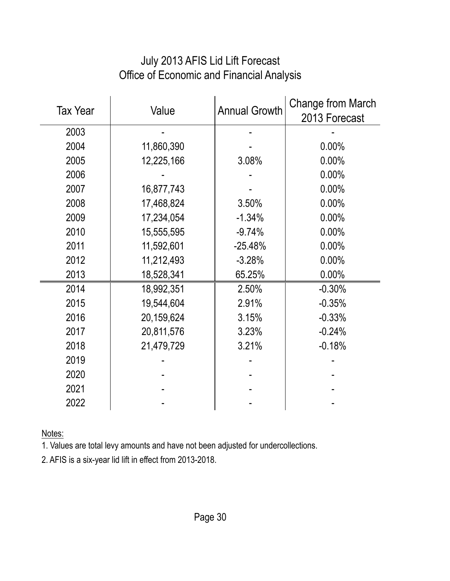| <b>Tax Year</b> | Value      | <b>Annual Growth</b> | <b>Change from March</b><br>2013 Forecast |
|-----------------|------------|----------------------|-------------------------------------------|
| 2003            |            |                      |                                           |
| 2004            | 11,860,390 |                      | 0.00%                                     |
| 2005            | 12,225,166 | 3.08%                | $0.00\%$                                  |
| 2006            |            |                      | 0.00%                                     |
| 2007            | 16,877,743 |                      | 0.00%                                     |
| 2008            | 17,468,824 | 3.50%                | 0.00%                                     |
| 2009            | 17,234,054 | $-1.34%$             | 0.00%                                     |
| 2010            | 15,555,595 | $-9.74%$             | 0.00%                                     |
| 2011            | 11,592,601 | $-25.48%$            | 0.00%                                     |
| 2012            | 11,212,493 | $-3.28%$             | 0.00%                                     |
| 2013            | 18,528,341 | 65.25%               | 0.00%                                     |
| 2014            | 18,992,351 | 2.50%                | $-0.30%$                                  |
| 2015            | 19,544,604 | 2.91%                | $-0.35%$                                  |
| 2016            | 20,159,624 | 3.15%                | $-0.33%$                                  |
| 2017            | 20,811,576 | 3.23%                | $-0.24%$                                  |
| 2018            | 21,479,729 | 3.21%                | $-0.18%$                                  |
| 2019            |            |                      |                                           |
| 2020            |            |                      |                                           |
| 2021            |            |                      |                                           |
| 2022            |            |                      |                                           |

# July 2013 AFIS Lid Lift Forecast Office of Economic and Financial Analysis

Notes:

1. Values are total levy amounts and have not been adjusted for undercollections.

2. AFIS is a six-year lid lift in effect from 2013-2018.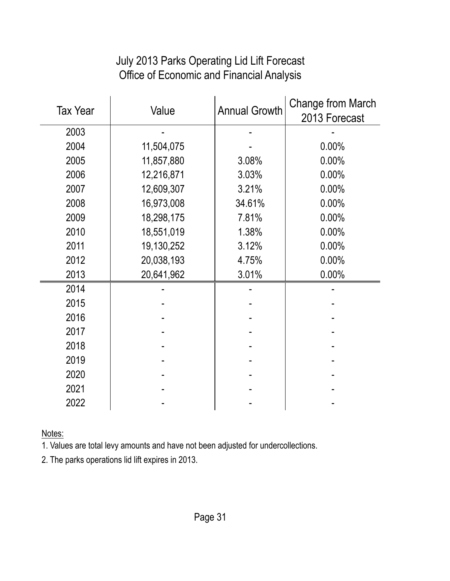#### Tax Year Value Annual Growth Change from March 2013 Forecast 2003 | - - | - | - -2004 11,504,075 - 0.00% 2005 11,857,880 3.08% 0.00% 2006 12,216,871 3.03% 0.00% 2007 12,609,307 3.21% 0.00% 2008 16,973,008 34.61% 0.00% 2009 18,298,175 7.81% 0.00% 2010 18,551,019 1.38% 0.00% 2011 19,130,252 3.12% 0.00% 2012 20,038,193 4.75% 0.00% 2013 20,641,962 3.01% 0.00% 2014 | - - | - | - -2015 | - | - | - | 2016 | - | - | - | 2017 | - | - | - | 2018 | - - | - | - -2019 | - - | - | - -2020 - - - 2021 | - | - | - | 2022 | - - | - | - -

#### July 2013 Parks Operating Lid Lift Forecast Office of Economic and Financial Analysis

Notes:

1. Values are total levy amounts and have not been adjusted for undercollections.

2. The parks operations lid lift expires in 2013.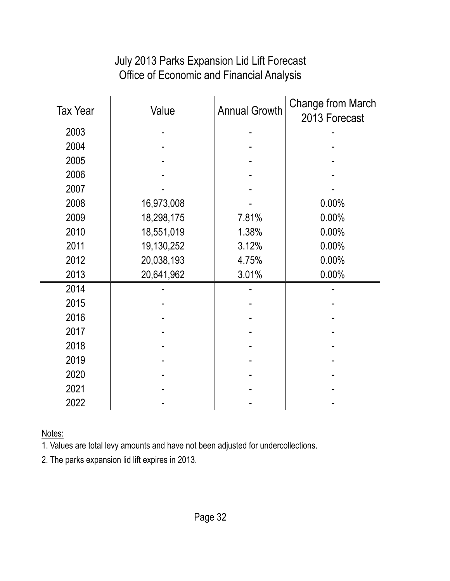#### July 2013 Parks Expansion Lid Lift Forecast Office of Economic and Financial Analysis

| <b>Tax Year</b> | Value      | <b>Annual Growth</b> | <b>Change from March</b><br>2013 Forecast |
|-----------------|------------|----------------------|-------------------------------------------|
| 2003            |            |                      |                                           |
| 2004            |            |                      |                                           |
| 2005            |            |                      |                                           |
| 2006            |            |                      |                                           |
| 2007            |            |                      |                                           |
| 2008            | 16,973,008 |                      | 0.00%                                     |
| 2009            | 18,298,175 | 7.81%                | 0.00%                                     |
| 2010            | 18,551,019 | 1.38%                | 0.00%                                     |
| 2011            | 19,130,252 | 3.12%                | 0.00%                                     |
| 2012            | 20,038,193 | 4.75%                | 0.00%                                     |
| 2013            | 20,641,962 | 3.01%                | 0.00%                                     |
| 2014            |            |                      |                                           |
| 2015            |            |                      |                                           |
| 2016            |            |                      |                                           |
| 2017            |            |                      |                                           |
| 2018            |            |                      |                                           |
| 2019            |            |                      |                                           |
| 2020            |            |                      |                                           |
| 2021            |            |                      |                                           |
| 2022            |            |                      |                                           |

Notes:

1. Values are total levy amounts and have not been adjusted for undercollections.

2. The parks expansion lid lift expires in 2013.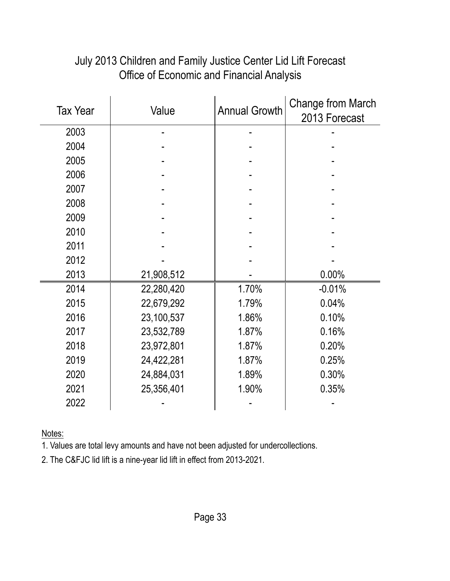| <b>Tax Year</b> | Value      | <b>Annual Growth</b> | Change from March<br>2013 Forecast |
|-----------------|------------|----------------------|------------------------------------|
| 2003            |            |                      |                                    |
| 2004            |            |                      |                                    |
| 2005            |            |                      |                                    |
| 2006            |            |                      |                                    |
| 2007            |            |                      |                                    |
| 2008            |            |                      |                                    |
| 2009            |            |                      |                                    |
| 2010            |            |                      |                                    |
| 2011            |            |                      |                                    |
| 2012            |            |                      |                                    |
| 2013            | 21,908,512 |                      | 0.00%                              |
| 2014            | 22,280,420 | 1.70%                | $-0.01%$                           |
| 2015            | 22,679,292 | 1.79%                | 0.04%                              |
| 2016            | 23,100,537 | 1.86%                | 0.10%                              |
| 2017            | 23,532,789 | 1.87%                | 0.16%                              |
| 2018            | 23,972,801 | 1.87%                | 0.20%                              |
| 2019            | 24,422,281 | 1.87%                | 0.25%                              |
| 2020            | 24,884,031 | 1.89%                | 0.30%                              |
| 2021            | 25,356,401 | 1.90%                | 0.35%                              |
| 2022            |            |                      |                                    |

# July 2013 Children and Family Justice Center Lid Lift Forecast Office of Economic and Financial Analysis

Notes:

1. Values are total levy amounts and have not been adjusted for undercollections.

2. The C&FJC lid lift is a nine-year lid lift in effect from 2013-2021.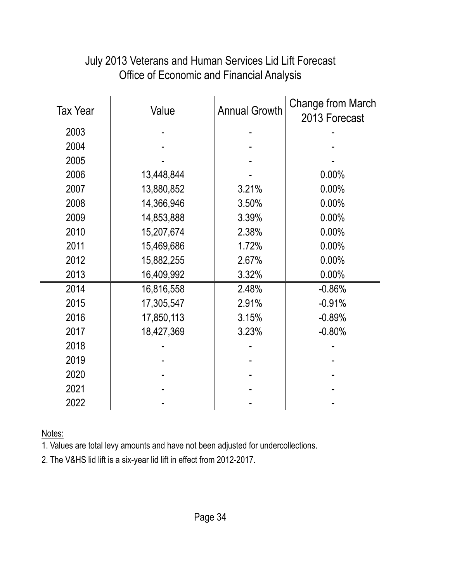| <b>Tax Year</b> | Value      | <b>Annual Growth</b> | <b>Change from March</b><br>2013 Forecast |
|-----------------|------------|----------------------|-------------------------------------------|
| 2003            |            |                      |                                           |
| 2004            |            |                      |                                           |
| 2005            |            |                      |                                           |
| 2006            | 13,448,844 |                      | 0.00%                                     |
| 2007            | 13,880,852 | 3.21%                | 0.00%                                     |
| 2008            | 14,366,946 | 3.50%                | 0.00%                                     |
| 2009            | 14,853,888 | 3.39%                | 0.00%                                     |
| 2010            | 15,207,674 | 2.38%                | 0.00%                                     |
| 2011            | 15,469,686 | 1.72%                | 0.00%                                     |
| 2012            | 15,882,255 | 2.67%                | 0.00%                                     |
| 2013            | 16,409,992 | 3.32%                | 0.00%                                     |
| 2014            | 16,816,558 | 2.48%                | $-0.86%$                                  |
| 2015            | 17,305,547 | 2.91%                | $-0.91%$                                  |
| 2016            | 17,850,113 | 3.15%                | $-0.89%$                                  |
| 2017            | 18,427,369 | 3.23%                | $-0.80%$                                  |
| 2018            |            |                      |                                           |
| 2019            |            |                      |                                           |
| 2020            |            |                      |                                           |
| 2021            |            |                      |                                           |
| 2022            |            |                      |                                           |

#### July 2013 Veterans and Human Services Lid Lift Forecast Office of Economic and Financial Analysis

Notes:

1. Values are total levy amounts and have not been adjusted for undercollections.

2. The V&HS lid lift is a six-year lid lift in effect from 2012-2017.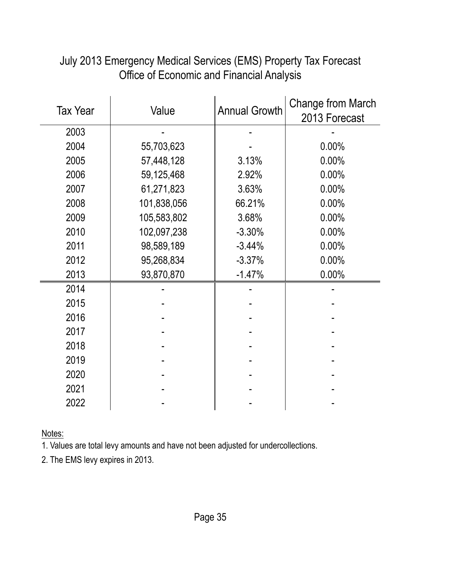| <b>Tax Year</b> | Value       | <b>Annual Growth</b> | <b>Change from March</b><br>2013 Forecast |
|-----------------|-------------|----------------------|-------------------------------------------|
| 2003            |             |                      |                                           |
| 2004            | 55,703,623  |                      | 0.00%                                     |
| 2005            | 57,448,128  | 3.13%                | 0.00%                                     |
| 2006            | 59,125,468  | 2.92%                | 0.00%                                     |
| 2007            | 61,271,823  | 3.63%                | 0.00%                                     |
| 2008            | 101,838,056 | 66.21%               | 0.00%                                     |
| 2009            | 105,583,802 | 3.68%                | 0.00%                                     |
| 2010            | 102,097,238 | $-3.30%$             | 0.00%                                     |
| 2011            | 98,589,189  | $-3.44%$             | 0.00%                                     |
| 2012            | 95,268,834  | $-3.37%$             | 0.00%                                     |
| 2013            | 93,870,870  | $-1.47%$             | 0.00%                                     |
| 2014            |             |                      |                                           |
| 2015            |             |                      |                                           |
| 2016            |             |                      |                                           |
| 2017            |             |                      |                                           |
| 2018            |             |                      |                                           |
| 2019            |             |                      |                                           |
| 2020            |             |                      |                                           |
| 2021            |             |                      |                                           |
| 2022            |             |                      |                                           |

July 2013 Emergency Medical Services (EMS) Property Tax Forecast Office of Economic and Financial Analysis

Notes:

1. Values are total levy amounts and have not been adjusted for undercollections.

2. The EMS levy expires in 2013.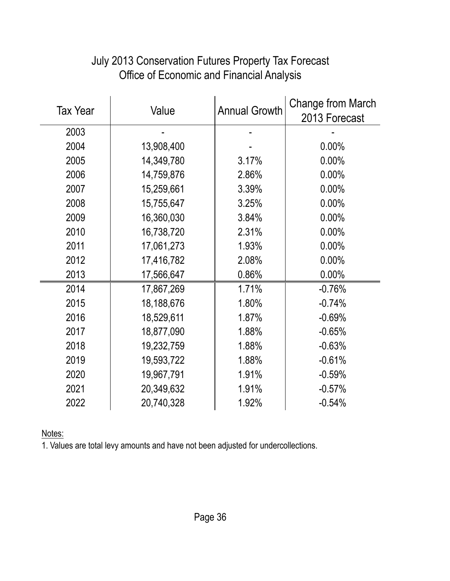| <b>Tax Year</b> | Value      | <b>Annual Growth</b> | Change from March<br>2013 Forecast |
|-----------------|------------|----------------------|------------------------------------|
| 2003            |            |                      |                                    |
| 2004            | 13,908,400 |                      | 0.00%                              |
| 2005            | 14,349,780 | 3.17%                | $0.00\%$                           |
| 2006            | 14,759,876 | 2.86%                | $0.00\%$                           |
| 2007            | 15,259,661 | 3.39%                | 0.00%                              |
| 2008            | 15,755,647 | 3.25%                | 0.00%                              |
| 2009            | 16,360,030 | 3.84%                | $0.00\%$                           |
| 2010            | 16,738,720 | 2.31%                | $0.00\%$                           |
| 2011            | 17,061,273 | 1.93%                | 0.00%                              |
| 2012            | 17,416,782 | 2.08%                | $0.00\%$                           |
| 2013            | 17,566,647 | 0.86%                | 0.00%                              |
| 2014            | 17,867,269 | 1.71%                | $-0.76%$                           |
| 2015            | 18,188,676 | 1.80%                | $-0.74%$                           |
| 2016            | 18,529,611 | 1.87%                | $-0.69%$                           |
| 2017            | 18,877,090 | 1.88%                | $-0.65%$                           |
| 2018            | 19,232,759 | 1.88%                | $-0.63%$                           |
| 2019            | 19,593,722 | 1.88%                | $-0.61%$                           |
| 2020            | 19,967,791 | 1.91%                | $-0.59%$                           |
| 2021            | 20,349,632 | 1.91%                | $-0.57%$                           |
| 2022            | 20,740,328 | 1.92%                | $-0.54%$                           |

#### July 2013 Conservation Futures Property Tax Forecast Office of Economic and Financial Analysis

Notes: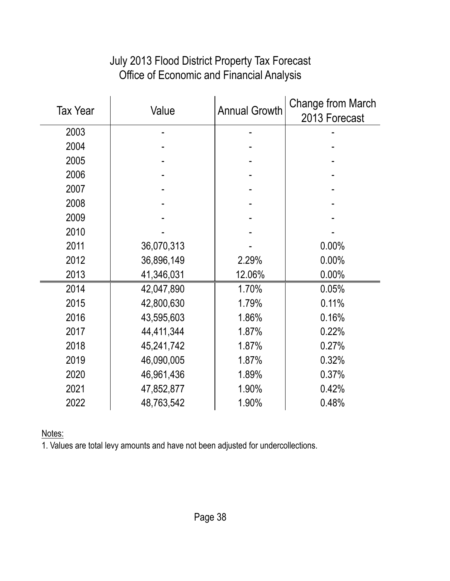| <b>Tax Year</b> | Value      | <b>Annual Growth</b> | Change from March<br>2013 Forecast |
|-----------------|------------|----------------------|------------------------------------|
| 2003            |            |                      |                                    |
| 2004            |            |                      |                                    |
| 2005            |            |                      |                                    |
| 2006            |            |                      |                                    |
| 2007            |            |                      |                                    |
| 2008            |            |                      |                                    |
| 2009            |            |                      |                                    |
| 2010            |            |                      |                                    |
| 2011            | 36,070,313 |                      | 0.00%                              |
| 2012            | 36,896,149 | 2.29%                | 0.00%                              |
| 2013            | 41,346,031 | 12.06%               | $0.00\%$                           |
| 2014            | 42,047,890 | 1.70%                | 0.05%                              |
| 2015            | 42,800,630 | 1.79%                | 0.11%                              |
| 2016            | 43,595,603 | 1.86%                | 0.16%                              |
| 2017            | 44,411,344 | 1.87%                | 0.22%                              |
| 2018            | 45,241,742 | 1.87%                | 0.27%                              |
| 2019            | 46,090,005 | 1.87%                | 0.32%                              |
| 2020            | 46,961,436 | 1.89%                | 0.37%                              |
| 2021            | 47,852,877 | 1.90%                | 0.42%                              |
| 2022            | 48,763,542 | 1.90%                | 0.48%                              |

## July 2013 Flood District Property Tax Forecast Office of Economic and Financial Analysis

Notes: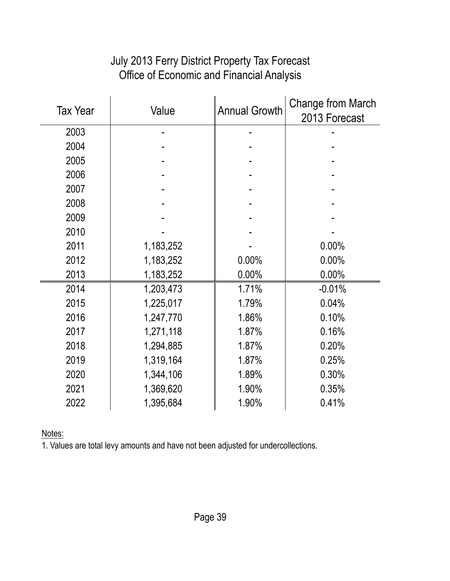#### July 2013 Ferry District Property Tax Forecast Office of Economic and Financial Analysis

| <b>Tax Year</b> | Value     | <b>Annual Growth</b> | Change from March<br>2013 Forecast |
|-----------------|-----------|----------------------|------------------------------------|
| 2003            |           |                      |                                    |
| 2004            |           |                      |                                    |
| 2005            |           |                      |                                    |
| 2006            |           |                      |                                    |
| 2007            |           |                      |                                    |
| 2008            |           |                      |                                    |
| 2009            |           |                      |                                    |
| 2010            |           |                      |                                    |
| 2011            | 1,183,252 |                      | 0.00%                              |
| 2012            | 1,183,252 | 0.00%                | 0.00%                              |
| 2013            | 1,183,252 | 0.00%                | 0.00%                              |
| 2014            | 1,203,473 | 1.71%                | $-0.01%$                           |
| 2015            | 1,225,017 | 1.79%                | 0.04%                              |
| 2016            | 1,247,770 | 1.86%                | 0.10%                              |
| 2017            | 1,271,118 | 1.87%                | 0.16%                              |
| 2018            | 1,294,885 | 1.87%                | 0.20%                              |
| 2019            | 1,319,164 | 1.87%                | 0.25%                              |
| 2020            | 1,344,106 | 1.89%                | 0.30%                              |
| 2021            | 1,369,620 | 1.90%                | 0.35%                              |
| 2022            | 1,395,684 | 1.90%                | 0.41%                              |

Notes: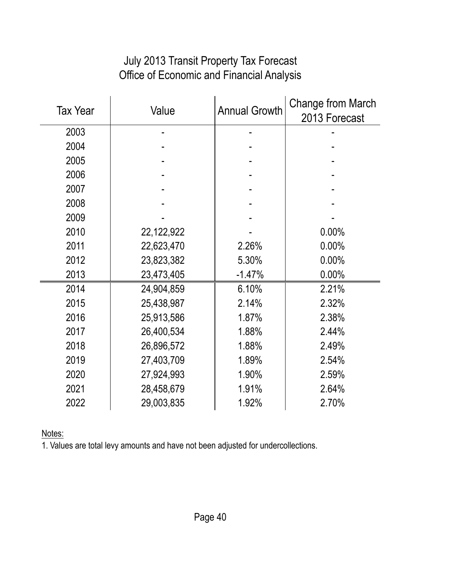#### July 2013 Transit Property Tax Forecast Office of Economic and Financial Analysis

| <b>Tax Year</b> | Value      | <b>Annual Growth</b> | Change from March<br>2013 Forecast |
|-----------------|------------|----------------------|------------------------------------|
| 2003            |            |                      |                                    |
| 2004            |            |                      |                                    |
| 2005            |            |                      |                                    |
| 2006            |            |                      |                                    |
| 2007            |            |                      |                                    |
| 2008            |            |                      |                                    |
| 2009            |            |                      |                                    |
| 2010            | 22,122,922 |                      | 0.00%                              |
| 2011            | 22,623,470 | 2.26%                | 0.00%                              |
| 2012            | 23,823,382 | 5.30%                | 0.00%                              |
| 2013            | 23,473,405 | $-1.47%$             | 0.00%                              |
| 2014            | 24,904,859 | 6.10%                | 2.21%                              |
| 2015            | 25,438,987 | 2.14%                | 2.32%                              |
| 2016            | 25,913,586 | 1.87%                | 2.38%                              |
| 2017            | 26,400,534 | 1.88%                | 2.44%                              |
| 2018            | 26,896,572 | 1.88%                | 2.49%                              |
| 2019            | 27,403,709 | 1.89%                | 2.54%                              |
| 2020            | 27,924,993 | 1.90%                | 2.59%                              |
| 2021            | 28,458,679 | 1.91%                | 2.64%                              |
| 2022            | 29,003,835 | 1.92%                | 2.70%                              |

Notes: